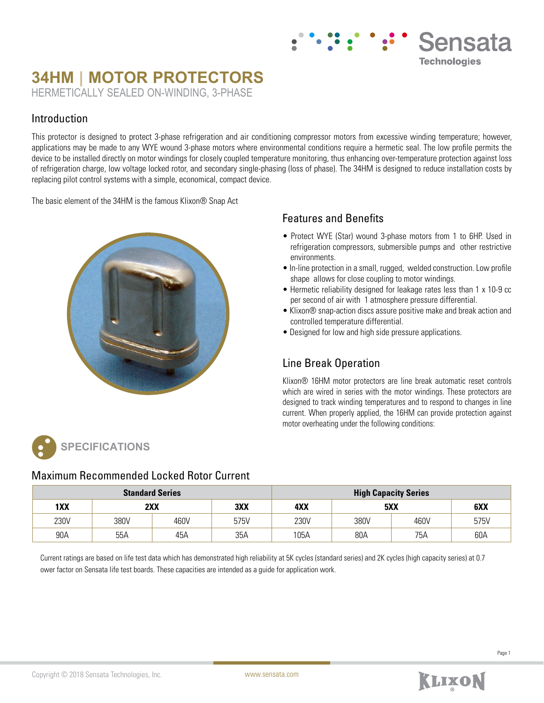# **34HM | MOTOR PROTECTORS** HERMETICALLY SEALED ON-WINDING, 3-PHASE

### Introduction

This protector is designed to protect 3-phase refrigeration and air conditioning compressor motors from excessive winding temperature; however, applications may be made to any WYE wound 3-phase motors where environmental conditions require a hermetic seal. The low profile permits the device to be installed directly on motor windings for closely coupled temperature monitoring, thus enhancing over-temperature protection against loss of refrigeration charge, low voltage locked rotor, and secondary single-phasing (loss of phase). The 34HM is designed to reduce installation costs by replacing pilot control systems with a simple, economical, compact device.

The basic element of the 34HM is the famous Klixon® Snap Act



## Features and Benefits

• Protect WYE (Star) wound 3-phase motors from 1 to 6HP. Used in refrigeration compressors, submersible pumps and other restrictive environments.

Sensata

**Technologies** 

- In-line protection in a small, rugged, welded construction. Low profile shape allows for close coupling to motor windings.
- Hermetic reliability designed for leakage rates less than 1 x 10-9 cc per second of air with 1 atmosphere pressure differential.
- Klixon® snap-action discs assure positive make and break action and controlled temperature differential.
- Designed for low and high side pressure applications.

## Line Break Operation

Klixon® 16HM motor protectors are line break automatic reset controls which are wired in series with the motor windings. These protectors are designed to track winding temperatures and to respond to changes in line current. When properly applied, the 16HM can provide protection against motor overheating under the following conditions:

**SPECIFICATIONS**

## Maximum Recommended Locked Rotor Current

| <b>Standard Series</b> |      |      |      | <b>High Capacity Series</b> |      |      |      |  |
|------------------------|------|------|------|-----------------------------|------|------|------|--|
| 1XX                    | 2XX  |      | 3XX  | 4XX                         | 5XX  |      | 6XX  |  |
| 230V                   | 380V | 460V | 575V | 230V                        | 380V | 460V | 575V |  |
| 90A                    | 55A  | 45A  | 35A  | 105A                        | 80A  | 75A  | 60A  |  |

Current ratings are based on life test data which has demonstrated high reliability at 5K cycles (standard series) and 2K cycles (high capacity series) at 0.7 ower factor on Sensata life test boards. These capacities are intended as a guide for application work.

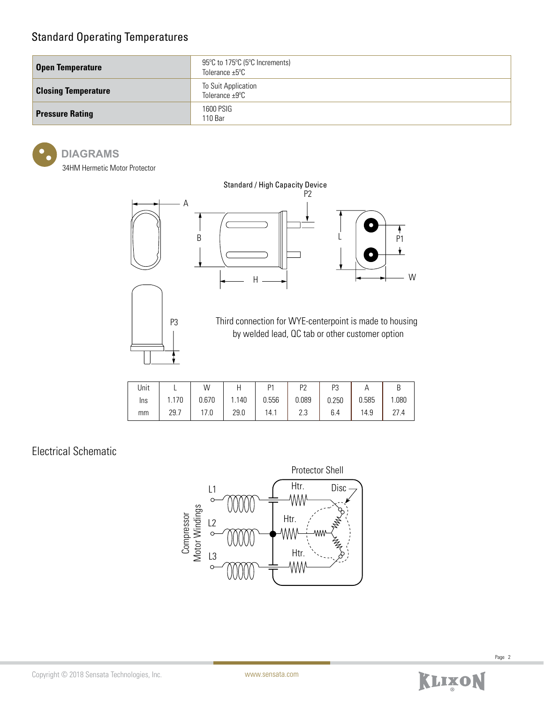## Standard Operating Temperatures

| <b>Open Temperature</b>    | 95°C to 175°C (5°C Increments)<br>Tolerance $\pm 5^{\circ}$ C |
|----------------------------|---------------------------------------------------------------|
| <b>Closing Temperature</b> | To Suit Application<br>Tolerance $\pm 9^{\circ}$ C            |
| <b>Pressure Rating</b>     | 1600 PSIG<br>110 Bar                                          |

#### **DIAGRAMS**

34HM Hermetic Motor Protector



| Unit |       | W     |       | D <sub>1</sub> | D <sub>7</sub> | P3    | Ħ     |       |
|------|-------|-------|-------|----------------|----------------|-------|-------|-------|
| Ins  | 1.170 | 0.670 | 1.140 | 0.556          | 0.089          | 0.250 | 0.585 | 1.080 |
| mm   | 29.7  | 17.0  | 29.0  | 14.1           | ר ה<br>ں.ے     | 6.4   | 14.9  | 27 4  |

## Electrical Schematic